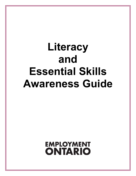# **Literacy and Essential Skills Awareness Guide**

**EMPLOYMENT ONTARIO**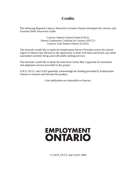### **Credits**

The following Regional Literacy Networks in Eastern Ontario developed the *Literacy and Essential Skills Awareness Guide*:

> Literacy Ontario Central South (LOCS) Ottawa Community Coalition for Literacy (OCCL) Literacy Link Eastern Ontario (LLEO)

The networks would like to thank the Employment Service Providers across the eastern region of Ontario that allowed us the opportunity to meet with them and review any needs assessment currently being used with adults seeking services.

The networks would like to thank the team from Centre Moi j'apprends for translation and adaptation services provided to this project.

LOCS, OCCL and LLEO gratefully acknowledge the funding provided by Employment Ontario to research and develop this product.

Cette publication est disponible en francais.

## **EMPLOYMENT ONTARIO**

© LOCS, OCCL and LLEO, 2009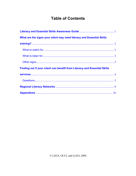## **Table of Contents**

| What are the signs your client may need literacy and Essential Skills     |  |
|---------------------------------------------------------------------------|--|
|                                                                           |  |
|                                                                           |  |
|                                                                           |  |
|                                                                           |  |
| Finding out if your client can benefit from Literacy and Essential Skills |  |
|                                                                           |  |
|                                                                           |  |
|                                                                           |  |
|                                                                           |  |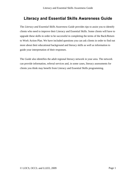## **Literacy and Essential Skills Awareness Guide**

<span id="page-3-0"></span>The *Literacy and Essential Skills Awareness Guide* provides tips to assist you to identify clients who need to improve their Literacy and Essential Skills. Some clients will have to upgrade these skills in order to be successful in completing the terms of the Back/Return to Work Action Plan. We have included questions you can ask clients in order to find out more about their educational background and literacy skills as well as information to guide your interpretation of their responses.

The *Guide* also identifies the adult regional literacy network in your area. The network can provide information, referral services and, in some cases, literacy assessments for clients you think may benefit from Literacy and Essential Skills programming.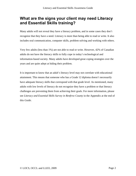## <span id="page-4-0"></span>**What are the signs your client may need Literacy and Essential Skills training?**

Many adults will not reveal they have a literacy problem, and in some cases they don't recognize that they have a need. Literacy is more than being able to read or write. It also includes oral communication, computer skills, problem solving and working with others.

Very few adults (less than 1%) are not able to read or write. However, 42% of Canadian adults do not have the literacy skills to fully cope in today's technological and information-based society. Many adults have developed great coping strategies over the years and are quite adept at hiding their problem.

It is important to know that an adult's literacy level may not correlate with educational attainment. This means that someone who has a Grade 12 diploma doesn't necessarily have adequate literacy skills that correspond with that grade level. As mentioned, many adults with low levels of literacy do not recognize they have a problem or that literacy challenges are preventing them from achieving their goals. For more information, please see *Literacy and Essential Skills Survey in Renfrew County* in the Appendix at the end of this *Guide*.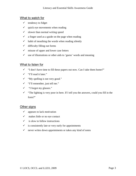#### <span id="page-5-0"></span>What to watch for

- $\checkmark$  tendency to fidget
- $\checkmark$  quick eye movements when reading
- $\checkmark$  slower than normal writing speed
- $\checkmark$  a finger used as a guide on the page when reading
- $\checkmark$  habit of mouthing the words when reading silently
- $\checkmark$  difficulty filling out forms
- $\checkmark$  misuse of upper and lower case letters
- $\checkmark$  use of illustrations or other aids to 'guess' words and meaning

#### <span id="page-5-1"></span>What to listen for

- $\checkmark$  "I don't have time to fill these papers out now. Can I take them home?"
- $\checkmark$  "I'll read it later."
- $\checkmark$  "My spelling is not very good."
- $\checkmark$  "I'll remember, just tell me."
- "I forgot my glasses."
- $\checkmark$  "The lighting is very poor in here. If I tell you the answers, could you fill in the form?"

#### <span id="page-5-2"></span>Other signs

- $\checkmark$  appears to lack motivation
- $\checkmark$  makes little or no eye contact
- $\checkmark$  is slow to follow instructions
- $\checkmark$  is consistently late or very early for appointments
- $\checkmark$  never writes down appointments or takes any kind of notes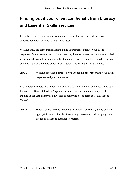## <span id="page-6-0"></span>**Finding out if your client can benefit from Literacy and Essential Skills services**

If you have concerns, try asking your client some of the questions below. Have a conversation with your client. This is not a test!

We have included some information to guide your interpretation of your client's responses. Some answers may indicate there may be other issues the client needs to deal with. Also, the overall responses (rather than one response) should be considered when deciding if the client would benefit from Literacy and Essential Skills training.

**NOTE:** We have provided a *Report Form* (Appendix 3) for recording your client's responses and your comments.

It is important to note that a client may continue to work with you while upgrading at a Literacy and Basic Skills (LBS) agency. In some cases, a client must complete the training in the LBS agency as a first step to achieving a long-term goal (e.g. Second Career).

**NOTE:** When a client's mother tongue is not English or French, it may be more appropriate to refer the client to an English-as-a-Second-Language or a French-as-a-Second-Language program.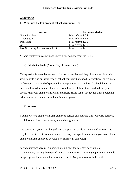#### <span id="page-7-0"></span>Questions

#### **1) What was the last grade of school you completed?**

| Answer                            | <b>Recommendation</b> |
|-----------------------------------|-----------------------|
| Grade 8 or less                   | May refer to LBS      |
| Grade 9 to 12                     | May refer to LBS      |
| Upgrading                         | May refer to LBS      |
| $GED*$                            | May refer to LBS      |
| Post Secondary (did not complete) | May refer to LBS      |

\* Some employers, colleges and universities do not accept the GED.

#### **a) At what school? (Name, City, Province, etc.)**

This question is asked because not all schools are alike and they change over time. You want to try to find out what type of school your client attended – a vocational or technical high school, some kind of special education program or a small rural school that may have had limited resources. These are just a few possibilities that could indicate you should refer your client to a Literacy and Basic Skills (LBS) agency for skills upgrading prior to entering training or looking for employment.

#### **b) When?**

You may refer a client to an LBS agency to refresh and upgrade skills who has been out of high school five or more years, and did not graduate.

The education system has changed over the years. A Grade 12 completed 20 years ago may be very different from one completed two years ago. In some cases, you may refer a client to an LBS agency to develop new skills (e.g. computer).

A client may not have used a particular skill over the past several years (e.g. measurement) but may be required to use it in a new job or training opportunity. It would be appropriate for you to refer this client to an LBS agency to refresh this skill.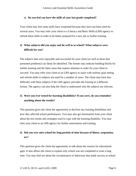#### **c) Do you feel you have the skills of your last grade completed?**

Your client may feel some skills have weakened because they have not been used for several years. You may refer your client to a Literacy and Basic Skills (LBS) agency to refresh these skills in order to be better prepared for a new job or further training.

#### **2) What subjects did you enjoy and do well in at school? What subjects were difficult for you?**

The subjects that were enjoyable and successful for your client (as well as those that presented problems) can likely be identified. The former may indicate building blocks for further training and the latter areas that require attention in order for your client to succeed. You may refer your client to an LBS agency to assist with realistic goal setting and refresh skills in subjects not used for a number of years. The client may have less difficulty with these subjects if the LBS agency provides the training in a different format. The agency can also help the client to understand why the subjects are relevant.

#### **3) Were you ever tested for learning disabilities? If you were, do you remember anything about the results?**

This question gives the client the opportunity to disclose any learning disabilities and how they affected school performance. You may also get information from your client about the test results and strategies used to cope with the learning disability. You may refer your client to an LBS agency for further assessments and training.

#### **4) Did you ever miss school for long periods of time because of illness, suspension, etc?**

This question gives the client the opportunity to talk about the reasons for educational gaps. It also allows the client to explain why school was not completed or took a long time. You may find out about the circumstances or behaviour that made success at school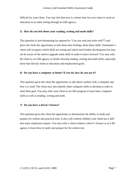difficult for your client. You may feel that now is a better time for your client to work on education in an adult setting through an LBS agency.

#### **5) How do you feel about your reading, writing and math skills?**

This question is non-threatening (as opposed to "Can you read and write well?") and gives the client the opportunity to talk about their feelings about these skills. Sometimes a client will recognize which skills are strong and which need further development but may not be aware of the need to upgrade some skills in order to move forward. You may refer the client to an LBS agency to further develop reading, writing and math skills, especially those that directly relate to education and employment goals.

#### **6) Do you have a computer at home? If you do, how do you use it?**

This question gives the client the opportunity to talk about comfort with a computer and how it is used. The client may also identify other computer skills to develop in order to meet their goal. You may refer your client to an LBS program to learn basic computer skills as well as reading, writing and math.

#### **7) Do you have a driver's licence?**

This question gives the client the opportunity to demonstrate the ability to study and prepare for written and practical tests. It also will confirm whether your client has a skill that many employers require. You may refer a client without a driver's licence to an LBS agency to learn how to study and prepare for the written test.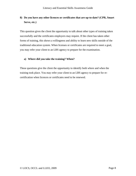#### **8) Do you have any other licences or certificates that are up-to-date? (CPR, Smart Serve, etc.)**

This question gives the client the opportunity to talk about other types of training taken successfully and the certificates employers may require. If the client has taken other forms of training, this shows a willingness and ability to learn new skills outside of the traditional education system. When licenses or certificates are required to meet a goal, you may refer your client to an LBS agency to prepare for the examination.

#### **a) Where did you take the training? When?**

These questions give the client the opportunity to identify both where and when the training took place. You may refer your client to an LBS agency to prepare for recertification when licences or certificates need to be renewed.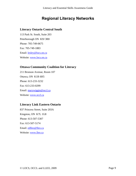## **Regional Literacy Networks**

#### <span id="page-11-0"></span>**Literacy Ontario Central South**

113 Park St. South, Suite 203 Peterborough ON K9J 3R8 Phone: 705-749-0675 Fax: 705-749-1883 Email: [lesley@locs.on.ca](mailto:lesley@locs.on.ca) Website: [www.locs.on.ca](http://www.locs.on.ca/)

#### **Ottawa Community Coalition for Literacy**

211 Bronson Avenue, Room 107 Ottawa, ON K1R 6H5 Phone: 613-233-3232 Fax: 613-233-0299 Email: [marywiggin@occl.ca](mailto:marywiggin@occl.ca) Website: [www.occl.ca](http://www.occl.ca/)

#### **Literacy Link Eastern Ontario**

837 Princess Street, Suite 203A Kingston, ON K7L 1G8 Phone: 613-507-5307 Fax: 613-507-5174 Email: [edlleo@lleo.ca](mailto:edlleo@lleo.ca) Website: [www.lleo.ca](http://www.lleo.ca/)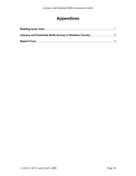## **Appendices**

<span id="page-12-0"></span>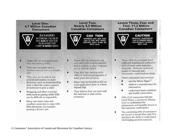#### <span id="page-13-0"></span>**Level One: 4.7 Million Canadian Consumers**

ВАХФИПО ЧАТОИОЖ: ГАО ЖДТ **IIXY GAS MY EIT HJID** ЧЗДО ФЗИУ РТП ГХВФ IS МІХЕД ЧИФЗ

#### **Level Two: Nearly 5.5 Million Canadian Consumers**



CAU TION **WARNING: DAN GER OUS GAS IS FOR MED WHEN** THIS PRO DUCT IS MIX ED **WITH ACID** 

**Levels Three, Four and Five: 11.3 Million Canadian Consumers** 



٠

#### **CAUTION**

**WARNING: DANGEROUS GAS IS FORMED WHEN** THIS PRODUCT IS MIXED **WITH ACID** 

- These 22% of consumers have  $\bullet$ very low reading skills.
- $\bullet$ They may recognize only a familiar word or two in a simple text.
- They may not be able to use  $\bullet$ printed information to make decisions, such as understanding from a label the correct amount of medicine to give a child.
- Shopping and other everyday tasks such as paying utility bills can be difficult or impossible.
- Many use smart ways and excellent memories to cope with life's situations, for example, passing a driver's test.
- These 26% of consumers can only deal with reading material that is written in plain language and is laid out clearly.
- They find new reading tasks  $\bullet$ difficult and long paragraphs of solid print discouraging.
	- Many may not be able to fill out a job application form or a bank deposit slip.
- They believe they can read well but tend not to read unless necessary.
- These 53% of consumers have sufficient reading and arithmetic skills to meet most everyday demands. However, technical jargon in manuals and documents could frustrate them.
- These consumers can however:
	- use the Yellow Pages™
	- write to a manufacturer for information
	- understand basic nutrition and health information
- 33% of all consumers fall into Level Three, a minimum literacy level to understand the information and benefits found in the Canadian marketplace.
- The remaining 20% of consumers ٠ are found in Levels Four and Five and have the skills to understand challenging printed materials.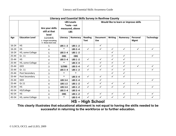<span id="page-14-0"></span>

| Literacy and Essential Skills Survey in Renfrew County |                        |                                                     |                |                                                                   |                               |                               |                |                                       |                         |                   |
|--------------------------------------------------------|------------------------|-----------------------------------------------------|----------------|-------------------------------------------------------------------|-------------------------------|-------------------------------|----------------|---------------------------------------|-------------------------|-------------------|
|                                                        |                        | Are your skills<br>still at that<br>level           |                | <b>LBS Levels</b><br>*note - not<br>measured, above<br><b>LBS</b> |                               |                               |                | Would like to learn or improve skills |                         |                   |
| Age                                                    | <b>Education Level</b> | 12345<br>1 - Forgot everything<br>5 - Know more now | Literacy       | <b>Numeracy</b>                                                   | <b>Reading</b><br><b>Text</b> | <b>Document</b><br><b>Use</b> | <b>Writing</b> | <b>Numeracy</b>                       | Personal<br><b>Mgmt</b> | <b>Technology</b> |
| $16 - 24$                                              | <b>HS</b>              | 5                                                   | LBS 1-2        | <b>LBS 1-2</b>                                                    |                               | $\checkmark$                  |                |                                       |                         |                   |
| $16 - 24$                                              | <b>HS</b>              | $\overline{\mathbf{4}}$                             | $\ast$         | <b>LBS 3-4</b>                                                    | $\checkmark$                  | $\checkmark$                  | $\checkmark$   | $\checkmark$                          | $\checkmark$            | $\checkmark$      |
| 16-24                                                  | HS, some College       | 5                                                   | LBS 3-4        | <b>LBS 1-2</b>                                                    |                               |                               | $\checkmark$   |                                       |                         |                   |
| 25-44                                                  | Gr. 11                 | 3                                                   | <b>OBS</b>     | <b>OBS</b>                                                        |                               |                               | $\checkmark$   | $\checkmark$                          |                         | $\checkmark$      |
| 25-44                                                  | <b>HS</b>              | 4                                                   | LBS 3-4        | <b>LBS 1-2</b>                                                    | $\checkmark$                  | $\checkmark$                  | $\checkmark$   | $\checkmark$                          |                         |                   |
| 25-44                                                  | HS, some College       | $\overline{2}$                                      | $\ast$         | <b>LBS 3-4</b>                                                    |                               | $\checkmark$                  | $\checkmark$   | $\checkmark$                          |                         |                   |
| 25-44                                                  | <b>GED</b>             | 3                                                   | 5/OBS          | <b>LBS 3-4</b>                                                    | $\checkmark$                  | $\checkmark$                  | $\checkmark$   | $\checkmark$                          | $\checkmark$            | $\checkmark$      |
| 25-44                                                  | Gr. 11                 | 3                                                   | LBS 3-4        | <b>LBS 1-2</b>                                                    | $\checkmark$                  | $\checkmark$                  | $\checkmark$   | $\checkmark$                          |                         | $\checkmark$      |
| 25-44                                                  | Post Secondary         | 3                                                   | $\ast$         | $\ast$                                                            |                               |                               | $\checkmark$   | $\checkmark$                          |                         |                   |
| 25-44                                                  | Post Secondary         | $\mathbf{1}$                                        | $\ast$         | <b>LBS 3-4</b>                                                    | $\checkmark$                  | $\checkmark$                  | $\checkmark$   | $\checkmark$                          |                         |                   |
| 25-44                                                  | <b>GED</b>             | 3                                                   | <b>LBS 3-4</b> | LBS 3-4                                                           |                               | $\checkmark$                  |                |                                       |                         | $\checkmark$      |
| 25-44                                                  | Gr.11                  | 4                                                   | <b>LBS 1-2</b> | <b>LBS 1-2</b>                                                    | $\checkmark$                  | $\checkmark$                  | $\checkmark$   | $\checkmark$                          | $\checkmark$            |                   |
| 25-44                                                  | <b>HS</b>              | 3                                                   | <b>LBS 3-4</b> | <b>LBS 1-2</b>                                                    | $\checkmark$                  | $\checkmark$                  | $\checkmark$   | $\checkmark$                          |                         | $\checkmark$      |
| 45-54                                                  | HS/College             | 5                                                   | LBS 3-4        | <b>LBS 3-4</b>                                                    |                               |                               |                |                                       |                         |                   |
| 45-54                                                  | <b>HS</b>              | $\overline{4}$                                      | <b>OBS</b>     | <b>LBS 1-2</b>                                                    | $\checkmark$                  | $\checkmark$                  | $\checkmark$   | $\checkmark$                          | $\checkmark$            | $\checkmark$      |
| 45-54                                                  | HS, some College       | 5                                                   | $\ast$         | LBS 3-4                                                           | $\checkmark$                  | $\checkmark$                  | $\checkmark$   | $\checkmark$                          |                         | $\checkmark$      |

**HS – High School** 

**This clearly illustrates that educational attainment is not equal to having the skills needed to be successful in returning to the workforce or to further education.**